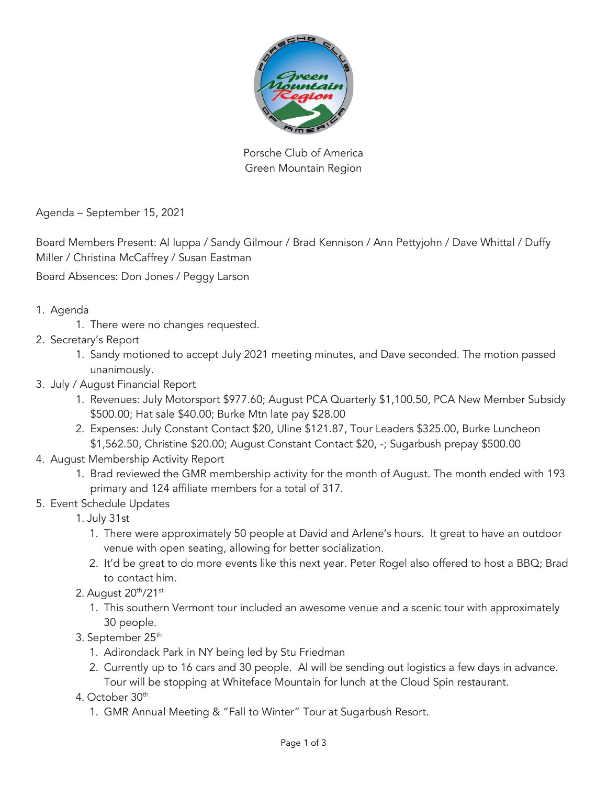

Porsche Club of America Green Mountain Region

Agenda – September 15, 2021

Board Members Present: Al Iuppa / Sandy Gilmour / Brad Kennison / Ann Pettyjohn / Dave Whittal / Duffy Miller / Christina McCaffrey / Susan Eastman

Board Absences: Don Jones / Peggy Larson

1. Agenda

1. There were no changes requested.

- 2. Secretary's Report
	- 1. Sandy motioned to accept July 2021 meeting minutes, and Dave seconded. The motion passed unanimously.
- 3. July / August Financial Report
	- 1. Revenues: July Motorsport \$977.60; August PCA Quarterly \$1,100.50, PCA New Member Subsidy \$500.00; Hat sale \$40.00; Burke Mtn late pay \$28.00
	- 2. Expenses: July Constant Contact \$20, Uline \$121.87, Tour Leaders \$325.00, Burke Luncheon \$1,562.50, Christine \$20.00; August Constant Contact \$20, -; Sugarbush prepay \$500.00
- 4. August Membership Activity Report
	- 1. Brad reviewed the GMR membership activity for the month of August. The month ended with 193 primary and 124 affiliate members for a total of 317.
- 5. Event Schedule Updates
	- 1. July 31st
		- 1. There were approximately 50 people at David and Arlene's hours. It great to have an outdoor venue with open seating, allowing for better socialization.
		- 2. It'd be great to do more events like this next year. Peter Rogel also offered to host a BBQ; Brad to contact him.
	- 2. August 20th/21st
		- 1. This southern Vermont tour included an awesome venue and a scenic tour with approximately 30 people.
	- 3. September 25<sup>th</sup>
		- 1. Adirondack Park in NY being led by Stu Friedman
		- 2. Currently up to 16 cars and 30 people. Al will be sending out logistics a few days in advance. Tour will be stopping at Whiteface Mountain for lunch at the Cloud Spin restaurant.
	- 4. October 30<sup>th</sup>
		- 1. GMR Annual Meeting & "Fall to Winter" Tour at Sugarbush Resort.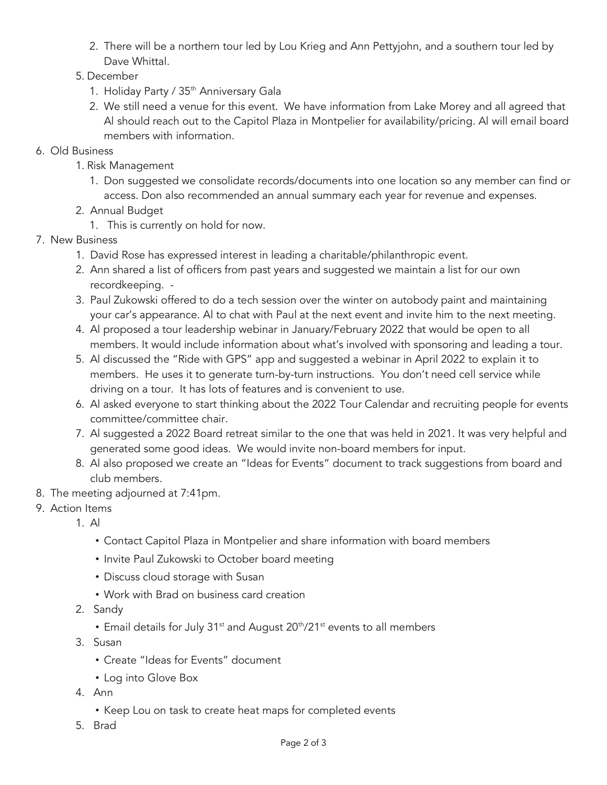- 2. There will be a northern tour led by Lou Krieg and Ann Pettyjohn, and a southern tour led by Dave Whittal.
- 5. December
	- 1. Holiday Party / 35<sup>th</sup> Anniversary Gala
	- 2. We still need a venue for this event. We have information from Lake Morey and all agreed that Al should reach out to the Capitol Plaza in Montpelier for availability/pricing. Al will email board members with information.
- 6. Old Business
	- 1. Risk Management
		- 1. Don suggested we consolidate records/documents into one location so any member can find or access. Don also recommended an annual summary each year for revenue and expenses.
	- 2. Annual Budget
		- 1. This is currently on hold for now.
- 7. New Business
	- 1. David Rose has expressed interest in leading a charitable/philanthropic event.
	- 2. Ann shared a list of officers from past years and suggested we maintain a list for our own recordkeeping. -
	- 3. Paul Zukowski offered to do a tech session over the winter on autobody paint and maintaining your car's appearance. Al to chat with Paul at the next event and invite him to the next meeting.
	- 4. Al proposed a tour leadership webinar in January/February 2022 that would be open to all members. It would include information about what's involved with sponsoring and leading a tour.
	- 5. Al discussed the "Ride with GPS" app and suggested a webinar in April 2022 to explain it to members. He uses it to generate turn-by-turn instructions. You don't need cell service while driving on a tour. It has lots of features and is convenient to use.
	- 6. Al asked everyone to start thinking about the 2022 Tour Calendar and recruiting people for events committee/committee chair.
	- 7. Al suggested a 2022 Board retreat similar to the one that was held in 2021. It was very helpful and generated some good ideas. We would invite non-board members for input.
	- 8. Al also proposed we create an "Ideas for Events" document to track suggestions from board and club members.
- 8. The meeting adjourned at 7:41pm.
- 9. Action Items
	- 1. Al
		- ! Contact Capitol Plaza in Montpelier and share information with board members
		- Invite Paul Zukowski to October board meeting
		- Discuss cloud storage with Susan
		- ! Work with Brad on business card creation
	- 2. Sandy
		- Email details for July 31<sup>st</sup> and August 20<sup>th</sup>/21<sup>st</sup> events to all members
	- 3. Susan
		- ! Create "Ideas for Events" document
		- Log into Glove Box
	- 4. Ann
		- Keep Lou on task to create heat maps for completed events
	- 5. Brad